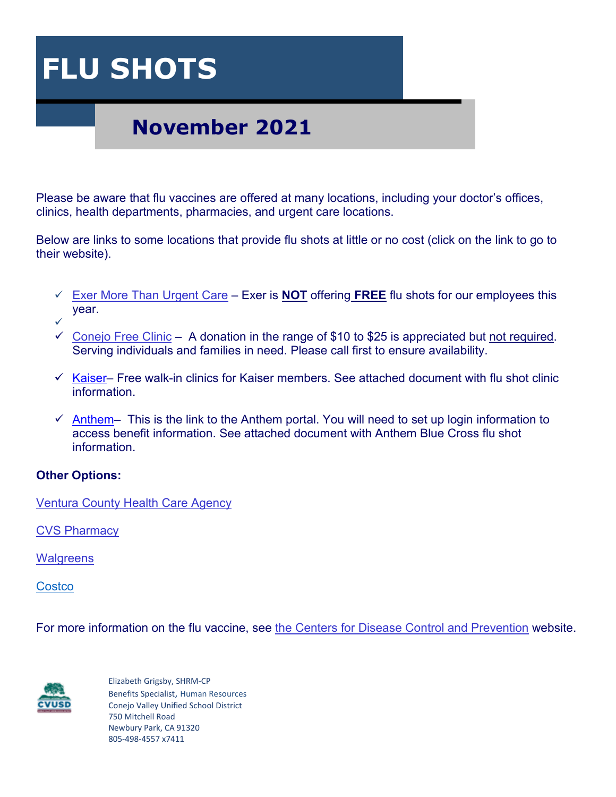## **FLU SHOTS**

## **November 2021**

Please be aware that flu vaccines are offered at many locations, including your doctor's offices, clinics, health departments, pharmacies, and urgent care locations.

Below are links to some locations that provide flu shots at little or no cost (click on the link to go to their website).

- [Exer More Than Urgent Care](http://www.exerurgentcare.com/medical-services/#flu-shot) Exer is **NOT** offering **FREE** flu shots for our employees this year.  $\checkmark$
- $\checkmark$  [Conejo Free Clinic](http://conejofreeclinic.org/medical-service.php) A donation in the range of \$10 to \$25 is appreciated but not required. Serving individuals and families in need. Please call first to ensure availability.
- $\checkmark$  [Kaiser–](https://m.kp.org/southern-california/health-wellness/flu) Free walk-in clinics for Kaiser members. See attached document with flu shot clinic information.
- $\checkmark$  [Anthem–](https://www.anthem.com/login/) This is the link to the Anthem portal. You will need to set up login information to access benefit information. See attached document with Anthem Blue Cross flu shot information.

## **Other Options:**

[Ventura County Health Care Agency](http://www.vchca.org/immunization-program)

**[CVS Pharmacy](http://www.cvs.com/minuteclinic/resources/flu-vaccination-iq)** 

**[Walgreens](https://www.walgreens.com/pharmacy/immunization/seasonal_flu.jsp?ext=gooSeasonal_Flu_Flu_NB_Generic_BMM_Flu_Get_BMM_getting_the_flu_from_the_flu_shot&sst=7333d82a-d545-1e28-93d1-000029eeac6b)** 

**[Costco](https://www.costco.com/Pharmacy/home-delivery?storeId=10301&catalogId=10701&langId=-1)** 

For more information on the flu vaccine, see [the Centers for Disease Control and Prevention](https://www.cdc.gov/flu/index.htm) website.



Elizabeth Grigsby, SHRM-CP Benefits Specialist, Human Resources Conejo Valley Unified School District 750 Mitchell Road Newbury Park, CA 91320 805-498-4557 x7411